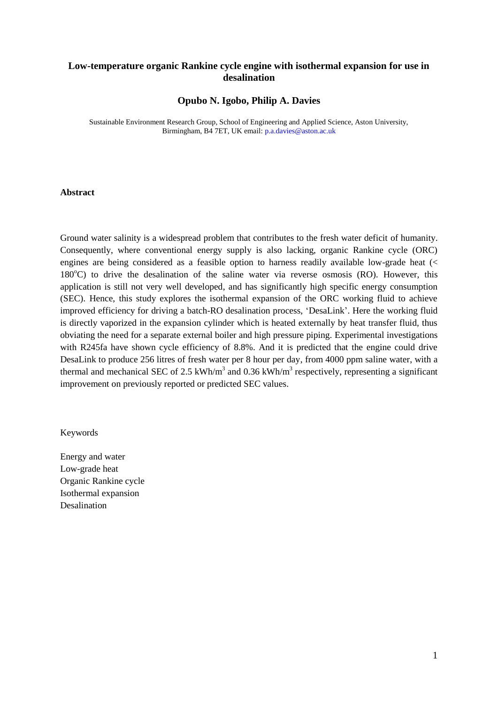# **Low-temperature organic Rankine cycle engine with isothermal expansion for use in desalination**

## **Opubo N. Igobo, Philip A. Davies**

Sustainable Environment Research Group, School of Engineering and Applied Science, Aston University, Birmingham, B4 7ET, UK email[: p.a.davies@aston.ac.uk](mailto:p.a.davies@aston.ac.uk)

#### **Abstract**

Ground water salinity is a widespread problem that contributes to the fresh water deficit of humanity. Consequently, where conventional energy supply is also lacking, organic Rankine cycle (ORC) engines are being considered as a feasible option to harness readily available low-grade heat  $\ll$  $180^{\circ}$ C) to drive the desalination of the saline water via reverse osmosis (RO). However, this application is still not very well developed, and has significantly high specific energy consumption (SEC). Hence, this study explores the isothermal expansion of the ORC working fluid to achieve improved efficiency for driving a batch-RO desalination process, 'DesaLink'. Here the working fluid is directly vaporized in the expansion cylinder which is heated externally by heat transfer fluid, thus obviating the need for a separate external boiler and high pressure piping. Experimental investigations with R245fa have shown cycle efficiency of 8.8%. And it is predicted that the engine could drive DesaLink to produce 256 litres of fresh water per 8 hour per day, from 4000 ppm saline water, with a thermal and mechanical SEC of 2.5 kWh/m<sup>3</sup> and 0.36 kWh/m<sup>3</sup> respectively, representing a significant improvement on previously reported or predicted SEC values.

#### Keywords

Energy and water Low-grade heat Organic Rankine cycle Isothermal expansion **Desalination**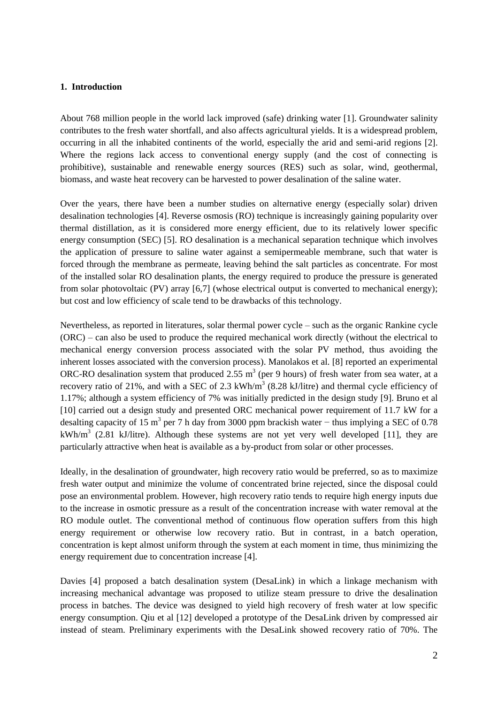## **1. Introduction**

About 768 million people in the world lack improved (safe) drinking water [1]. Groundwater salinity contributes to the fresh water shortfall, and also affects agricultural yields. It is a widespread problem, occurring in all the inhabited continents of the world, especially the arid and semi-arid regions [2]. Where the regions lack access to conventional energy supply (and the cost of connecting is prohibitive), sustainable and renewable energy sources (RES) such as solar, wind, geothermal, biomass, and waste heat recovery can be harvested to power desalination of the saline water.

Over the years, there have been a number studies on alternative energy (especially solar) driven desalination technologies [4]. Reverse osmosis (RO) technique is increasingly gaining popularity over thermal distillation, as it is considered more energy efficient, due to its relatively lower specific energy consumption (SEC) [5]. RO desalination is a mechanical separation technique which involves the application of pressure to saline water against a semipermeable membrane, such that water is forced through the membrane as permeate, leaving behind the salt particles as concentrate. For most of the installed solar RO desalination plants, the energy required to produce the pressure is generated from solar photovoltaic (PV) array [6,7] (whose electrical output is converted to mechanical energy); but cost and low efficiency of scale tend to be drawbacks of this technology.

Nevertheless, as reported in literatures, solar thermal power cycle – such as the organic Rankine cycle (ORC) – can also be used to produce the required mechanical work directly (without the electrical to mechanical energy conversion process associated with the solar PV method, thus avoiding the inherent losses associated with the conversion process). Manolakos et al. [8] reported an experimental ORC-RO desalination system that produced 2.55  $m<sup>3</sup>$  (per 9 hours) of fresh water from sea water, at a recovery ratio of 21%, and with a SEC of 2.3  $kWh/m<sup>3</sup>$  (8.28 kJ/litre) and thermal cycle efficiency of 1.17%; although a system efficiency of 7% was initially predicted in the design study [9]. Bruno et al [10] carried out a design study and presented ORC mechanical power requirement of 11.7 kW for a desalting capacity of 15 m<sup>3</sup> per 7 h day from 3000 ppm brackish water – thus implying a SEC of 0.78 kWh/m<sup>3</sup> (2.81 kJ/litre). Although these systems are not yet very well developed [11], they are particularly attractive when heat is available as a by-product from solar or other processes.

Ideally, in the desalination of groundwater, high recovery ratio would be preferred, so as to maximize fresh water output and minimize the volume of concentrated brine rejected, since the disposal could pose an environmental problem. However, high recovery ratio tends to require high energy inputs due to the increase in osmotic pressure as a result of the concentration increase with water removal at the RO module outlet. The conventional method of continuous flow operation suffers from this high energy requirement or otherwise low recovery ratio. But in contrast, in a batch operation, concentration is kept almost uniform through the system at each moment in time, thus minimizing the energy requirement due to concentration increase [4].

Davies [4] proposed a batch desalination system (DesaLink) in which a linkage mechanism with increasing mechanical advantage was proposed to utilize steam pressure to drive the desalination process in batches. The device was designed to yield high recovery of fresh water at low specific energy consumption. Qiu et al [12] developed a prototype of the DesaLink driven by compressed air instead of steam. Preliminary experiments with the DesaLink showed recovery ratio of 70%. The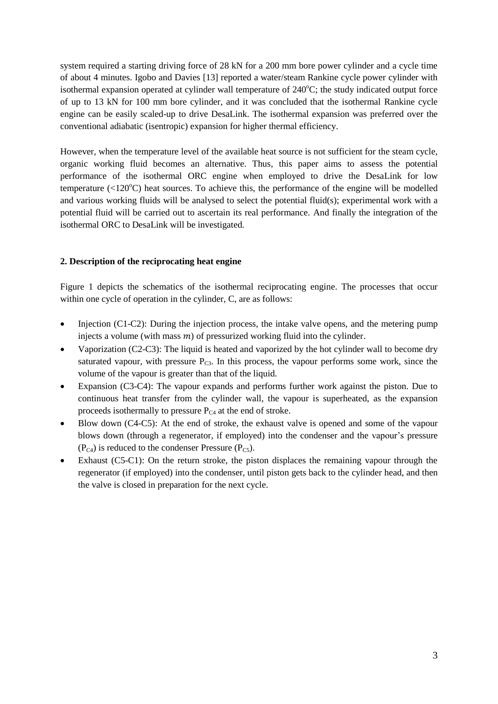system required a starting driving force of 28 kN for a 200 mm bore power cylinder and a cycle time of about 4 minutes. Igobo and Davies [13] reported a water/steam Rankine cycle power cylinder with isothermal expansion operated at cylinder wall temperature of 240°C; the study indicated output force of up to 13 kN for 100 mm bore cylinder, and it was concluded that the isothermal Rankine cycle engine can be easily scaled-up to drive DesaLink. The isothermal expansion was preferred over the conventional adiabatic (isentropic) expansion for higher thermal efficiency.

However, when the temperature level of the available heat source is not sufficient for the steam cycle, organic working fluid becomes an alternative. Thus, this paper aims to assess the potential performance of the isothermal ORC engine when employed to drive the DesaLink for low temperature  $\langle 120^{\circ}$ C) heat sources. To achieve this, the performance of the engine will be modelled and various working fluids will be analysed to select the potential fluid(s); experimental work with a potential fluid will be carried out to ascertain its real performance. And finally the integration of the isothermal ORC to DesaLink will be investigated.

# **2. Description of the reciprocating heat engine**

Figure 1 depicts the schematics of the isothermal reciprocating engine. The processes that occur within one cycle of operation in the cylinder, C, are as follows:

- $\bullet$  Injection (C1-C2): During the injection process, the intake valve opens, and the metering pump injects a volume (with mass  $m$ ) of pressurized working fluid into the cylinder.
- Vaporization (C2-C3): The liquid is heated and vaporized by the hot cylinder wall to become dry saturated vapour, with pressure  $P_{C3}$ . In this process, the vapour performs some work, since the volume of the vapour is greater than that of the liquid.
- Expansion (C3-C4): The vapour expands and performs further work against the piston. Due to continuous heat transfer from the cylinder wall, the vapour is superheated, as the expansion proceeds isothermally to pressure  $P_{C4}$  at the end of stroke.
- Blow down (C4-C5): At the end of stroke, the exhaust valve is opened and some of the vapour blows down (through a regenerator, if employed) into the condenser and the vapour's pressure  $(P_{C4})$  is reduced to the condenser Pressure  $(P_{C5})$ .
- Exhaust (C5-C1): On the return stroke, the piston displaces the remaining vapour through the regenerator (if employed) into the condenser, until piston gets back to the cylinder head, and then the valve is closed in preparation for the next cycle.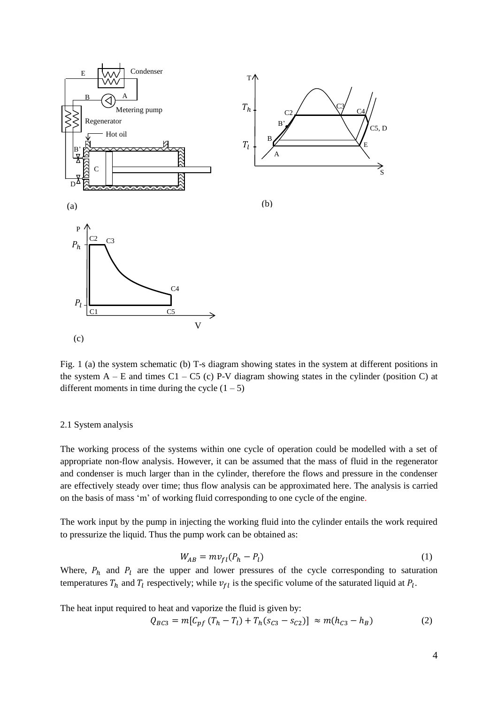

Fig. 1 (a) the system schematic (b) T-s diagram showing states in the system at different positions in the system  $A - E$  and times  $C1 - C5$  (c) P-V diagram showing states in the cylinder (position C) at different moments in time during the cycle  $(1 – 5)$ 

### 2.1 System analysis

The working process of the systems within one cycle of operation could be modelled with a set of appropriate non-flow analysis. However, it can be assumed that the mass of fluid in the regenerator and condenser is much larger than in the cylinder, therefore the flows and pressure in the condenser are effectively steady over time; thus flow analysis can be approximated here. The analysis is carried on the basis of mass 'm' of working fluid corresponding to one cycle of the engine.

The work input by the pump in injecting the working fluid into the cylinder entails the work required to pressurize the liquid. Thus the pump work can be obtained as:

$$
W_{AB} = m v_{fl} (P_h - P_l) \tag{1}
$$

Where,  $P_h$  and  $P_l$  are the upper and lower pressures of the cycle corresponding to saturation temperatures  $T_h$  and  $T_l$  respectively; while  $v_{fl}$  is the specific volume of the saturated liquid at  $P_l$ .

The heat input required to heat and vaporize the fluid is given by:

$$
Q_{BC3} = m[C_{pf} (T_h - T_l) + T_h(s_{C3} - s_{C2})] \approx m(h_{C3} - h_B)
$$
 (2)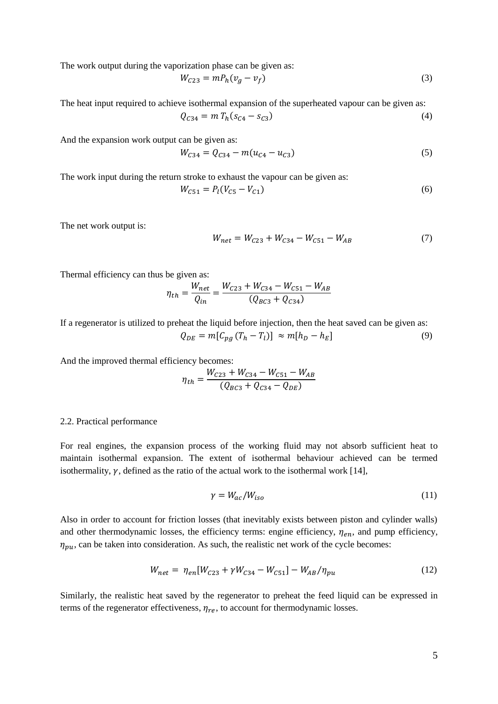The work output during the vaporization phase can be given as:

$$
W_{C23} = mP_h(v_g - v_f) \tag{3}
$$

The heat input required to achieve isothermal expansion of the superheated vapour can be given as:

$$
Q_{C34} = m T_h (s_{C4} - s_{C3})
$$
\n(4)

And the expansion work output can be given as:

$$
W_{C34} = Q_{C34} - m(u_{C4} - u_{C3})
$$
\n<sup>(5)</sup>

The work input during the return stroke to exhaust the vapour can be given as:

$$
W_{C51} = P_l (V_{C5} - V_{C1})
$$
\n<sup>(6)</sup>

The net work output is:

$$
W_{net} = W_{C23} + W_{C34} - W_{C51} - W_{AB}
$$
 (7)

Thermal efficiency can thus be given as:

$$
\eta_{th} = \frac{W_{net}}{Q_{in}} = \frac{W_{C23} + W_{C34} - W_{C51} - W_{AB}}{(Q_{BC3} + Q_{C34})}
$$

If a regenerator is utilized to preheat the liquid before injection, then the heat saved can be given as:

$$
Q_{DE} = m[C_{pg} (T_h - T_l)] \approx m[h_D - h_E]
$$
\n(9)

And the improved thermal efficiency becomes:

$$
\eta_{th} = \frac{W_{C23} + W_{C34} - W_{C51} - W_{AB}}{(Q_{BC3} + Q_{C34} - Q_{DE})}
$$

#### 2.2. Practical performance

For real engines, the expansion process of the working fluid may not absorb sufficient heat to maintain isothermal expansion. The extent of isothermal behaviour achieved can be termed isothermality,  $\gamma$ , defined as the ratio of the actual work to the isothermal work [14],

$$
\gamma = W_{ac}/W_{iso} \tag{11}
$$

Also in order to account for friction losses (that inevitably exists between piston and cylinder walls) and other thermodynamic losses, the efficiency terms: engine efficiency,  $\eta_{en}$ , and pump efficiency,  $\eta_{\nu\mu}$ , can be taken into consideration. As such, the realistic net work of the cycle becomes:

$$
W_{net} = \eta_{en} [W_{C23} + \gamma W_{C34} - W_{C51}] - W_{AB}/\eta_{pu}
$$
\n(12)

Similarly, the realistic heat saved by the regenerator to preheat the feed liquid can be expressed in terms of the regenerator effectiveness,  $\eta_{re}$ , to account for thermodynamic losses.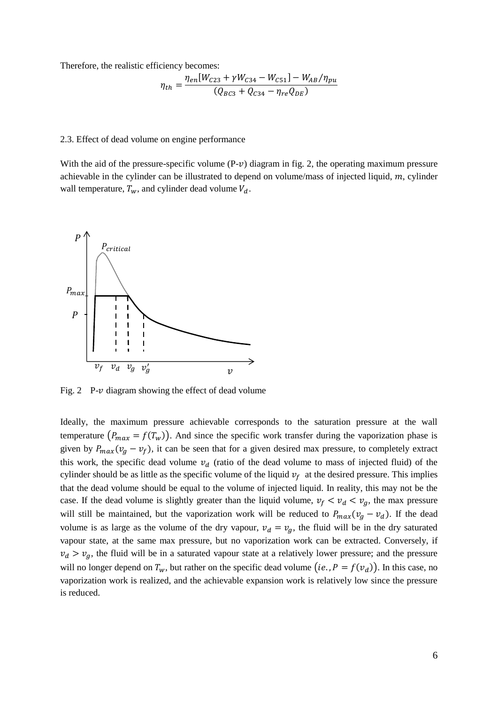Therefore, the realistic efficiency becomes:

$$
\eta_{th} = \frac{\eta_{en}[W_{C23} + \gamma W_{C34} - W_{C51}] - W_{AB}/\eta_{pu}}{(Q_{BC3} + Q_{C34} - \eta_{re}Q_{DE})}
$$

#### 2.3. Effect of dead volume on engine performance

With the aid of the pressure-specific volume  $(P-\nu)$  diagram in fig. 2, the operating maximum pressure achievable in the cylinder can be illustrated to depend on volume/mass of injected liquid,  $m$ , cylinder wall temperature,  $T_w$ , and cylinder dead volume  $V_d$ .



Fig. 2 P- $\nu$  diagram showing the effect of dead volume

Ideally, the maximum pressure achievable corresponds to the saturation pressure at the wall temperature  $(P_{max} = f(T_w))$ . And since the specific work transfer during the vaporization phase is given by  $P_{max}(v_g - v_f)$ , it can be seen that for a given desired max pressure, to completely extract this work, the specific dead volume  $v_d$  (ratio of the dead volume to mass of injected fluid) of the cylinder should be as little as the specific volume of the liquid  $v_f$  at the desired pressure. This implies that the dead volume should be equal to the volume of injected liquid. In reality, this may not be the case. If the dead volume is slightly greater than the liquid volume,  $v_f < v_d < v_g$ , the max pressure will still be maintained, but the vaporization work will be reduced to  $P_{max}( v_g - v_d)$ . If the dead volume is as large as the volume of the dry vapour,  $v_d = v_a$ , the fluid will be in the dry saturated vapour state, at the same max pressure, but no vaporization work can be extracted. Conversely, if  $v_d > v_q$ , the fluid will be in a saturated vapour state at a relatively lower pressure; and the pressure will no longer depend on  $T_w$ , but rather on the specific dead volume  $(ie, P = f(v_d))$ . In this case, no vaporization work is realized, and the achievable expansion work is relatively low since the pressure is reduced.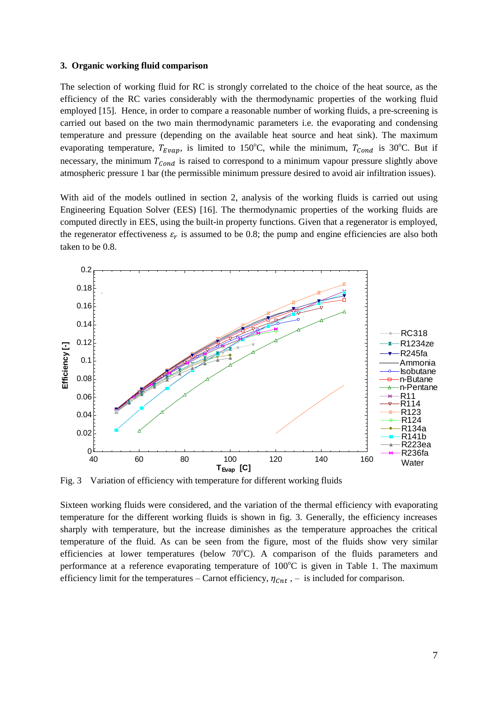#### **3. Organic working fluid comparison**

The selection of working fluid for RC is strongly correlated to the choice of the heat source, as the efficiency of the RC varies considerably with the thermodynamic properties of the working fluid employed [15]. Hence, in order to compare a reasonable number of working fluids, a pre-screening is carried out based on the two main thermodynamic parameters i.e. the evaporating and condensing temperature and pressure (depending on the available heat source and heat sink). The maximum evaporating temperature,  $T_{Evap}$ , is limited to 150°C, while the minimum,  $T_{Cond}$  is 30°C. But if necessary, the minimum  $T_{Cond}$  is raised to correspond to a minimum vapour pressure slightly above atmospheric pressure 1 bar (the permissible minimum pressure desired to avoid air infiltration issues).

With aid of the models outlined in section 2, analysis of the working fluids is carried out using Engineering Equation Solver (EES) [16]. The thermodynamic properties of the working fluids are computed directly in EES, using the built-in property functions. Given that a regenerator is employed, the regenerator effectiveness  $\varepsilon_r$  is assumed to be 0.8; the pump and engine efficiencies are also both taken to be 0.8.



Fig. 3 Variation of efficiency with temperature for different working fluids

Sixteen working fluids were considered, and the variation of the thermal efficiency with evaporating temperature for the different working fluids is shown in fig. 3. Generally, the efficiency increases sharply with temperature, but the increase diminishes as the temperature approaches the critical temperature of the fluid. As can be seen from the figure, most of the fluids show very similar efficiencies at lower temperatures (below  $70^{\circ}$ C). A comparison of the fluids parameters and performance at a reference evaporating temperature of  $100^{\circ}$ C is given in Table 1. The maximum efficiency limit for the temperatures – Carnot efficiency,  $\eta_{\text{cnt}}$ , – is included for comparison.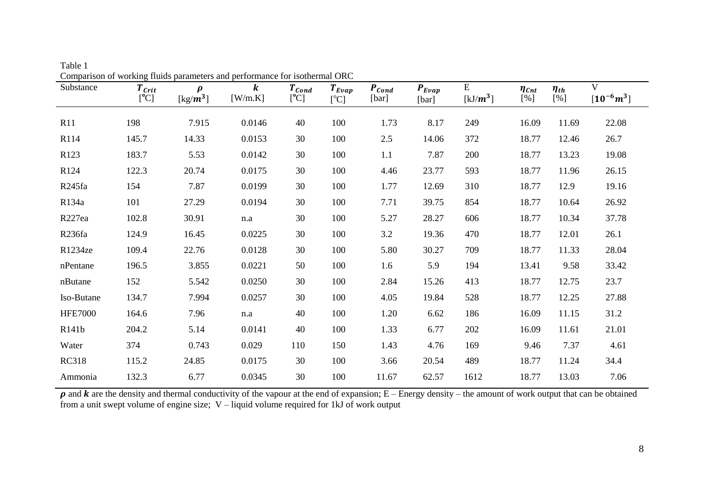| Comparison or working matus parameters and performance for isotherman Orte<br>Substance | $T_{\mathit{Crit}}$<br>[°C] | $\rho$<br>[kg/ $m^3$ ] | $\boldsymbol{k}$<br>[W/m.K] | $T_{Cond}$<br>[°C] | $T_{Evap}$<br>$[^{\circ}\mathrm{C}]$ | $P_{Cond}$<br>[bar] | $P_{Evap}$<br>[bar] | E<br>[ $kJ/m^3$ ] | $\eta_{\mathcal{C}nt}$<br>[%] | $\eta_{th}$<br>[%] | $\mathbf V$<br>$[10^{-6}m^3]$ |
|-----------------------------------------------------------------------------------------|-----------------------------|------------------------|-----------------------------|--------------------|--------------------------------------|---------------------|---------------------|-------------------|-------------------------------|--------------------|-------------------------------|
| R11                                                                                     | 198                         | 7.915                  | 0.0146                      | 40                 | 100                                  | 1.73                | 8.17                | 249               | 16.09                         | 11.69              | 22.08                         |
| R114                                                                                    | 145.7                       | 14.33                  | 0.0153                      | 30                 | 100                                  | 2.5                 | 14.06               | 372               | 18.77                         | 12.46              | 26.7                          |
| R123                                                                                    | 183.7                       | 5.53                   | 0.0142                      | 30                 | 100                                  | 1.1                 | 7.87                | 200               | 18.77                         | 13.23              | 19.08                         |
| R124                                                                                    | 122.3                       | 20.74                  | 0.0175                      | 30                 | 100                                  | 4.46                | 23.77               | 593               | 18.77                         | 11.96              | 26.15                         |
| R <sub>245fa</sub>                                                                      | 154                         | 7.87                   | 0.0199                      | 30                 | 100                                  | 1.77                | 12.69               | 310               | 18.77                         | 12.9               | 19.16                         |
| R134a                                                                                   | 101                         | 27.29                  | 0.0194                      | 30                 | 100                                  | 7.71                | 39.75               | 854               | 18.77                         | 10.64              | 26.92                         |
| R <sub>227ea</sub>                                                                      | 102.8                       | 30.91                  | n.a                         | 30                 | 100                                  | 5.27                | 28.27               | 606               | 18.77                         | 10.34              | 37.78                         |
| R <sub>236fa</sub>                                                                      | 124.9                       | 16.45                  | 0.0225                      | 30                 | 100                                  | 3.2                 | 19.36               | 470               | 18.77                         | 12.01              | 26.1                          |
| R1234ze                                                                                 | 109.4                       | 22.76                  | 0.0128                      | 30                 | 100                                  | 5.80                | 30.27               | 709               | 18.77                         | 11.33              | 28.04                         |
| nPentane                                                                                | 196.5                       | 3.855                  | 0.0221                      | 50                 | 100                                  | 1.6                 | 5.9                 | 194               | 13.41                         | 9.58               | 33.42                         |
| nButane                                                                                 | 152                         | 5.542                  | 0.0250                      | 30                 | 100                                  | 2.84                | 15.26               | 413               | 18.77                         | 12.75              | 23.7                          |
| Iso-Butane                                                                              | 134.7                       | 7.994                  | 0.0257                      | 30                 | 100                                  | 4.05                | 19.84               | 528               | 18.77                         | 12.25              | 27.88                         |
| <b>HFE7000</b>                                                                          | 164.6                       | 7.96                   | $\rm n.a$                   | 40                 | 100                                  | 1.20                | 6.62                | 186               | 16.09                         | 11.15              | 31.2                          |
| R141b                                                                                   | 204.2                       | 5.14                   | 0.0141                      | 40                 | 100                                  | 1.33                | 6.77                | 202               | 16.09                         | 11.61              | 21.01                         |
| Water                                                                                   | 374                         | 0.743                  | 0.029                       | 110                | 150                                  | 1.43                | 4.76                | 169               | 9.46                          | 7.37               | 4.61                          |
| <b>RC318</b>                                                                            | 115.2                       | 24.85                  | 0.0175                      | 30                 | 100                                  | 3.66                | 20.54               | 489               | 18.77                         | 11.24              | 34.4                          |
| Ammonia                                                                                 | 132.3                       | 6.77                   | 0.0345                      | 30                 | 100                                  | 11.67               | 62.57               | 1612              | 18.77                         | 13.03              | 7.06                          |

Table 1 Comparison of working fluids parameters and performance for isothermal ORC

 $\rho$  and  $k$  are the density and thermal conductivity of the vapour at the end of expansion; E – Energy density – the amount of work output that can be obtained from a unit swept volume of engine size; V – liquid volume required for 1kJ of work output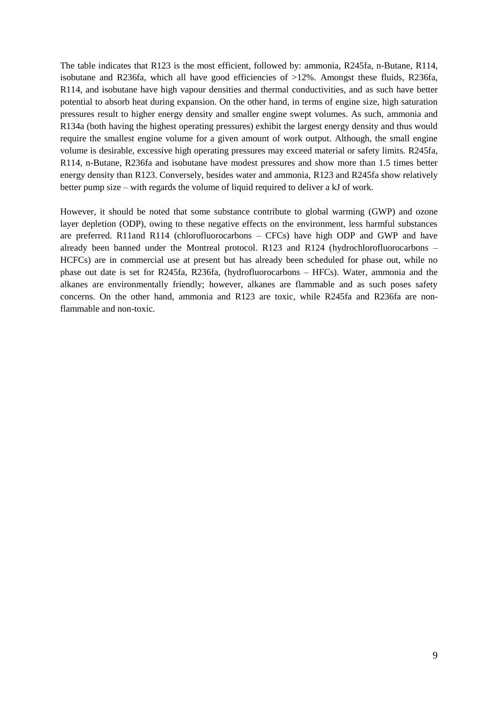The table indicates that R123 is the most efficient, followed by: ammonia, R245fa, n-Butane, R114, isobutane and R236fa, which all have good efficiencies of >12%. Amongst these fluids, R236fa, R114, and isobutane have high vapour densities and thermal conductivities, and as such have better potential to absorb heat during expansion. On the other hand, in terms of engine size, high saturation pressures result to higher energy density and smaller engine swept volumes. As such, ammonia and R134a (both having the highest operating pressures) exhibit the largest energy density and thus would require the smallest engine volume for a given amount of work output. Although, the small engine volume is desirable, excessive high operating pressures may exceed material or safety limits. R245fa, R114, n-Butane, R236fa and isobutane have modest pressures and show more than 1.5 times better energy density than R123. Conversely, besides water and ammonia, R123 and R245fa show relatively better pump size – with regards the volume of liquid required to deliver a kJ of work.

However, it should be noted that some substance contribute to global warming (GWP) and ozone layer depletion (ODP), owing to these negative effects on the environment, less harmful substances are preferred. R11and R114 (chlorofluorocarbons – CFCs) have high ODP and GWP and have already been banned under the Montreal protocol. R123 and R124 (hydrochlorofluorocarbons – HCFCs) are in commercial use at present but has already been scheduled for phase out, while no phase out date is set for R245fa, R236fa, (hydrofluorocarbons – HFCs). Water, ammonia and the alkanes are environmentally friendly; however, alkanes are flammable and as such poses safety concerns. On the other hand, ammonia and R123 are toxic, while R245fa and R236fa are nonflammable and non-toxic.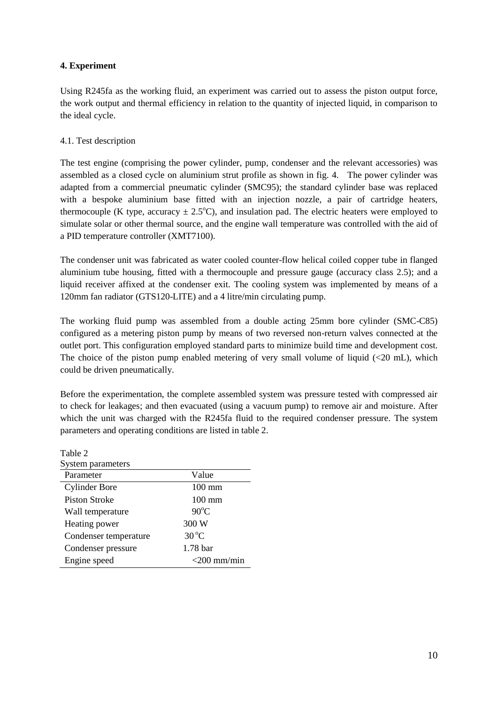# **4. Experiment**

Using R245fa as the working fluid, an experiment was carried out to assess the piston output force, the work output and thermal efficiency in relation to the quantity of injected liquid, in comparison to the ideal cycle.

# 4.1. Test description

The test engine (comprising the power cylinder, pump, condenser and the relevant accessories) was assembled as a closed cycle on aluminium strut profile as shown in fig. 4. The power cylinder was adapted from a commercial pneumatic cylinder (SMC95); the standard cylinder base was replaced with a bespoke aluminium base fitted with an injection nozzle, a pair of cartridge heaters, thermocouple (K type, accuracy  $\pm$  2.5°C), and insulation pad. The electric heaters were employed to simulate solar or other thermal source, and the engine wall temperature was controlled with the aid of a PID temperature controller (XMT7100).

The condenser unit was fabricated as water cooled counter-flow helical coiled copper tube in flanged aluminium tube housing, fitted with a thermocouple and pressure gauge (accuracy class 2.5); and a liquid receiver affixed at the condenser exit. The cooling system was implemented by means of a 120mm fan radiator (GTS120-LITE) and a 4 litre/min circulating pump.

The working fluid pump was assembled from a double acting 25mm bore cylinder (SMC-C85) configured as a metering piston pump by means of two reversed non-return valves connected at the outlet port. This configuration employed standard parts to minimize build time and development cost. The choice of the piston pump enabled metering of very small volume of liquid  $\langle$  <20 mL), which could be driven pneumatically.

Before the experimentation, the complete assembled system was pressure tested with compressed air to check for leakages; and then evacuated (using a vacuum pump) to remove air and moisture. After which the unit was charged with the R245fa fluid to the required condenser pressure. The system parameters and operating conditions are listed in table 2.

| Table 2               |                     |
|-----------------------|---------------------|
| System parameters     |                     |
| Parameter             | Value               |
| <b>Cylinder Bore</b>  | $100$ mm            |
| <b>Piston Stroke</b>  | $100 \text{ mm}$    |
| Wall temperature      | $90^{\circ}$ C      |
| Heating power         | 300 W               |
| Condenser temperature | $30^{\circ}$ C      |
| Condenser pressure    | 1.78 <sub>bar</sub> |
| Engine speed          | $<$ 200 mm/min      |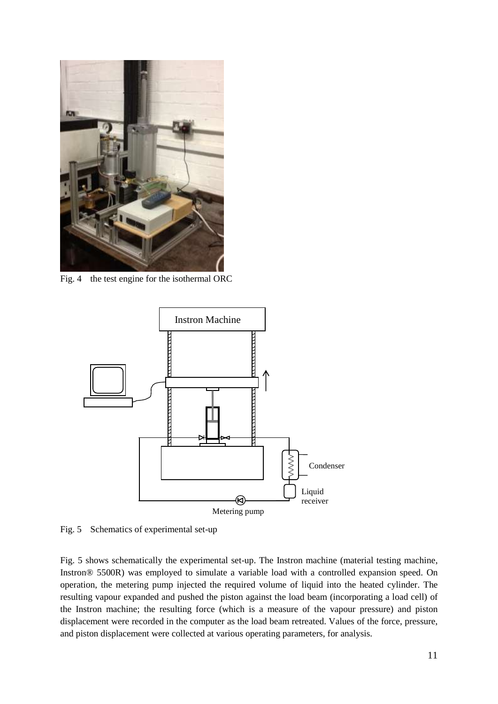

Fig. 4 the test engine for the isothermal ORC



Fig. 5 Schematics of experimental set-up

Fig. 5 shows schematically the experimental set-up. The Instron machine (material testing machine, Instron® 5500R) was employed to simulate a variable load with a controlled expansion speed. On operation, the metering pump injected the required volume of liquid into the heated cylinder. The resulting vapour expanded and pushed the piston against the load beam (incorporating a load cell) of the Instron machine; the resulting force (which is a measure of the vapour pressure) and piston displacement were recorded in the computer as the load beam retreated. Values of the force, pressure, and piston displacement were collected at various operating parameters, for analysis.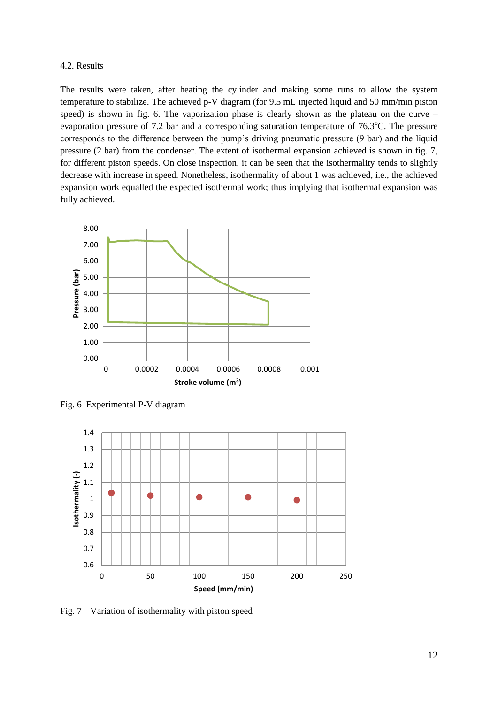#### 4.2. Results

The results were taken, after heating the cylinder and making some runs to allow the system temperature to stabilize. The achieved p-V diagram (for 9.5 mL injected liquid and 50 mm/min piston speed) is shown in fig. 6. The vaporization phase is clearly shown as the plateau on the curve – evaporation pressure of 7.2 bar and a corresponding saturation temperature of  $76.3^{\circ}$ C. The pressure corresponds to the difference between the pump's driving pneumatic pressure (9 bar) and the liquid pressure (2 bar) from the condenser. The extent of isothermal expansion achieved is shown in fig. 7, for different piston speeds. On close inspection, it can be seen that the isothermality tends to slightly decrease with increase in speed. Nonetheless, isothermality of about 1 was achieved, i.e., the achieved expansion work equalled the expected isothermal work; thus implying that isothermal expansion was fully achieved.



Fig. 6 Experimental P-V diagram



Fig. 7 Variation of isothermality with piston speed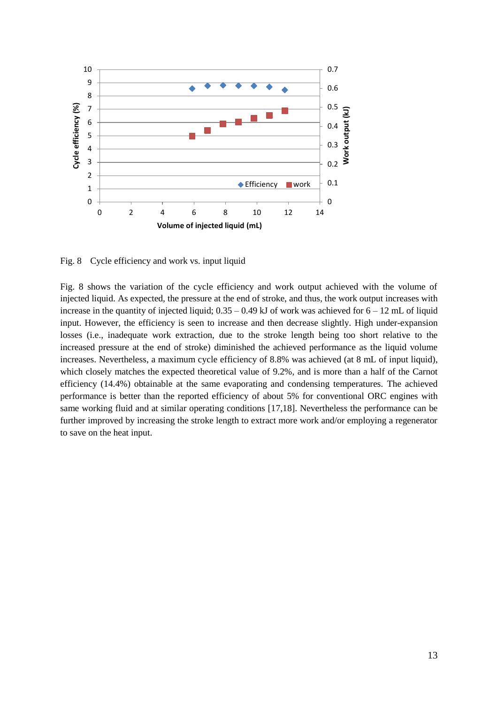

Fig. 8 Cycle efficiency and work vs. input liquid

Fig. 8 shows the variation of the cycle efficiency and work output achieved with the volume of injected liquid. As expected, the pressure at the end of stroke, and thus, the work output increases with increase in the quantity of injected liquid;  $0.35 - 0.49$  kJ of work was achieved for  $6 - 12$  mL of liquid input. However, the efficiency is seen to increase and then decrease slightly. High under-expansion losses (i.e., inadequate work extraction, due to the stroke length being too short relative to the increased pressure at the end of stroke) diminished the achieved performance as the liquid volume increases. Nevertheless, a maximum cycle efficiency of 8.8% was achieved (at 8 mL of input liquid), which closely matches the expected theoretical value of 9.2%, and is more than a half of the Carnot efficiency (14.4%) obtainable at the same evaporating and condensing temperatures. The achieved performance is better than the reported efficiency of about 5% for conventional ORC engines with same working fluid and at similar operating conditions [17,18]. Nevertheless the performance can be further improved by increasing the stroke length to extract more work and/or employing a regenerator to save on the heat input.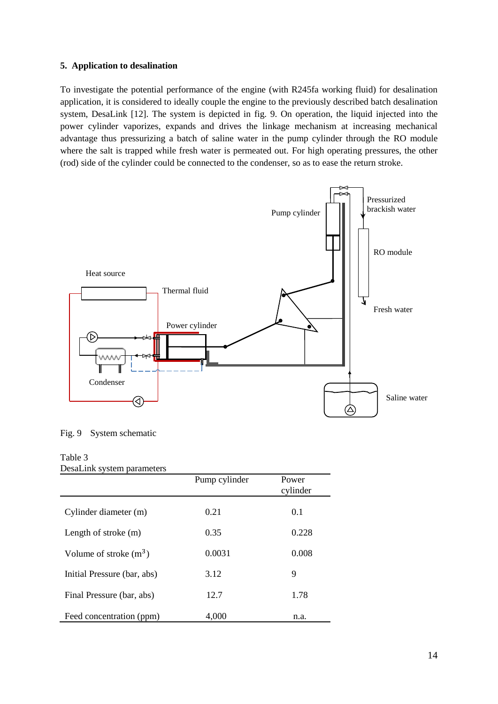# **5. Application to desalination**

To investigate the potential performance of the engine (with R245fa working fluid) for desalination application, it is considered to ideally couple the engine to the previously described batch desalination system, DesaLink [12]. The system is depicted in fig. 9. On operation, the liquid injected into the power cylinder vaporizes, expands and drives the linkage mechanism at increasing mechanical advantage thus pressurizing a batch of saline water in the pump cylinder through the RO module where the salt is trapped while fresh water is permeated out. For high operating pressures, the other (rod) side of the cylinder could be connected to the condenser, so as to ease the return stroke.



Fig. 9 System schematic

# Table 3

|  | DesaLink system parameters |
|--|----------------------------|
|  |                            |

| ------ r                    | Pump cylinder | Power<br>cylinder |
|-----------------------------|---------------|-------------------|
| Cylinder diameter (m)       | 0.21          | 0.1               |
| Length of stroke $(m)$      | 0.35          | 0.228             |
| Volume of stroke $(m^3)$    | 0.0031        | 0.008             |
| Initial Pressure (bar, abs) | 3.12          | 9                 |
| Final Pressure (bar, abs)   | 12.7          | 1.78              |
| Feed concentration (ppm)    | 4.000         | n.a.              |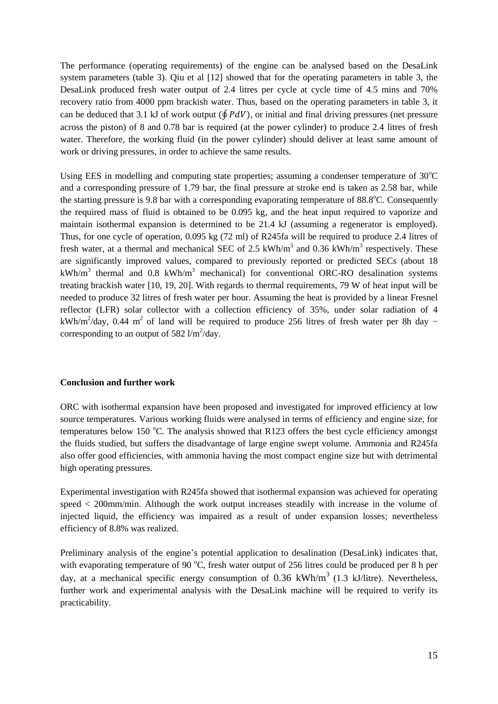The performance (operating requirements) of the engine can be analysed based on the DesaLink system parameters (table 3). Qiu et al [12] showed that for the operating parameters in table 3, the DesaLink produced fresh water output of 2.4 litres per cycle at cycle time of 4.5 mins and 70% recovery ratio from 4000 ppm brackish water. Thus, based on the operating parameters in table 3, it can be deduced that 3.1 kJ of work output ( $\oint P dV$ ), or initial and final driving pressures (net pressure across the piston) of 8 and 0.78 bar is required (at the power cylinder) to produce 2.4 litres of fresh water. Therefore, the working fluid (in the power cylinder) should deliver at least same amount of work or driving pressures, in order to achieve the same results.

Using EES in modelling and computing state properties; assuming a condenser temperature of  $30^{\circ}$ C and a corresponding pressure of 1.79 bar, the final pressure at stroke end is taken as 2.58 bar, while the starting pressure is 9.8 bar with a corresponding evaporating temperature of  $88.8^{\circ}$ C. Consequently the required mass of fluid is obtained to be 0.095 kg, and the heat input required to vaporize and maintain isothermal expansion is determined to be 21.4 kJ (assuming a regenerator is employed). Thus, for one cycle of operation, 0.095 kg (72 ml) of R245fa will be required to produce 2.4 litres of fresh water, at a thermal and mechanical SEC of 2.5  $kWh/m<sup>3</sup>$  and 0.36  $kWh/m<sup>3</sup>$  respectively. These are significantly improved values, compared to previously reported or predicted SECs (about 18 kWh/m<sup>3</sup> thermal and 0.8 kWh/m<sup>3</sup> mechanical) for conventional ORC-RO desalination systems treating brackish water [10, 19, 20]. With regards to thermal requirements, 79 W of heat input will be needed to produce 32 litres of fresh water per hour. Assuming the heat is provided by a linear Fresnel reflector (LFR) solar collector with a collection efficiency of 35%, under solar radiation of 4 kWh/m<sup>2</sup>/day, 0.44 m<sup>2</sup> of land will be required to produce 256 litres of fresh water per 8h day − corresponding to an output of 582  $1/m^2$ /day.

#### **Conclusion and further work**

ORC with isothermal expansion have been proposed and investigated for improved efficiency at low source temperatures. Various working fluids were analysed in terms of efficiency and engine size, for temperatures below 150  $^{\circ}$ C. The analysis showed that R123 offers the best cycle efficiency amongst the fluids studied, but suffers the disadvantage of large engine swept volume. Ammonia and R245fa also offer good efficiencies, with ammonia having the most compact engine size but with detrimental high operating pressures.

Experimental investigation with R245fa showed that isothermal expansion was achieved for operating speed < 200mm/min. Although the work output increases steadily with increase in the volume of injected liquid, the efficiency was impaired as a result of under expansion losses; nevertheless efficiency of 8.8% was realized.

Preliminary analysis of the engine's potential application to desalination (DesaLink) indicates that, with evaporating temperature of 90  $^{\circ}$ C, fresh water output of 256 litres could be produced per 8 h per day, at a mechanical specific energy consumption of 0.36 kWh/m<sup>3</sup> (1.3 kJ/litre). Nevertheless, further work and experimental analysis with the DesaLink machine will be required to verify its practicability.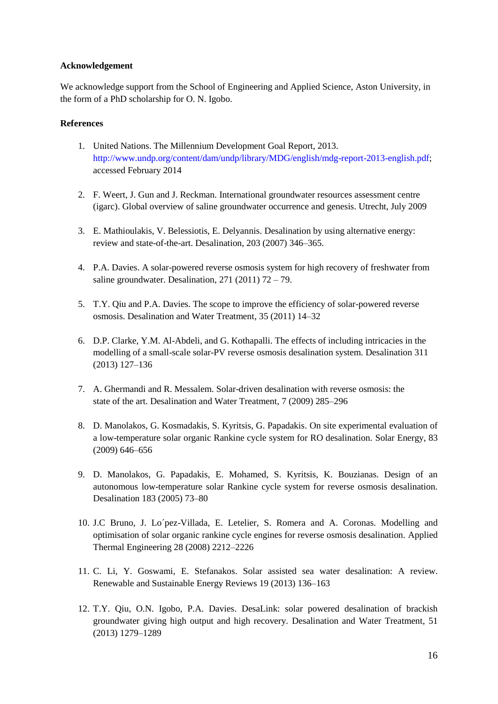## **Acknowledgement**

We acknowledge support from the School of Engineering and Applied Science, Aston University, in the form of a PhD scholarship for O. N. Igobo.

### **References**

- 1. United Nations. The Millennium Development Goal Report, 2013. [http://www.undp.org/content/dam/undp/library/MDG/english/mdg-report-2013-english.pdf;](http://www.undp.org/content/dam/undp/library/MDG/english/mdg-report-2013-english.pdf) accessed February 2014
- 2. F. Weert, J. Gun and J. Reckman. International groundwater resources assessment centre (igarc). Global overview of saline groundwater occurrence and genesis. Utrecht, July 2009
- 3. E. Mathioulakis, V. Belessiotis, E. Delyannis. Desalination by using alternative energy: review and state-of-the-art. Desalination, 203 (2007) 346–365.
- 4. P.A. Davies. A solar-powered reverse osmosis system for high recovery of freshwater from saline groundwater. Desalination,  $271 (2011) 72 - 79$ .
- 5. T.Y. Qiu and P.A. Davies. The scope to improve the efficiency of solar-powered reverse osmosis. Desalination and Water Treatment, 35 (2011) 14–32
- 6. D.P. Clarke, Y.M. Al-Abdeli, and G. Kothapalli. The effects of including intricacies in the modelling of a small-scale solar-PV reverse osmosis desalination system. Desalination 311 (2013) 127–136
- 7. A. Ghermandi and R. Messalem. Solar-driven desalination with reverse osmosis: the state of the art. Desalination and Water Treatment, 7 (2009) 285–296
- 8. D. Manolakos, G. Kosmadakis, S. Kyritsis, G. Papadakis. On site experimental evaluation of a low-temperature solar organic Rankine cycle system for RO desalination. Solar Energy, 83 (2009) 646–656
- 9. D. Manolakos, G. Papadakis, E. Mohamed, S. Kyritsis, K. Bouzianas. Design of an autonomous low-temperature solar Rankine cycle system for reverse osmosis desalination. Desalination 183 (2005) 73–80
- 10. J.C Bruno, J. Lo´pez-Villada, E. Letelier, S. Romera and A. Coronas. Modelling and optimisation of solar organic rankine cycle engines for reverse osmosis desalination. Applied Thermal Engineering 28 (2008) 2212–2226
- 11. C. Li, Y. Goswami, E. Stefanakos. Solar assisted sea water desalination: A review. Renewable and Sustainable Energy Reviews 19 (2013) 136–163
- 12. T.Y. Qiu, O.N. Igobo, P.A. Davies. DesaLink: solar powered desalination of brackish groundwater giving high output and high recovery. Desalination and Water Treatment, 51 (2013) 1279–1289